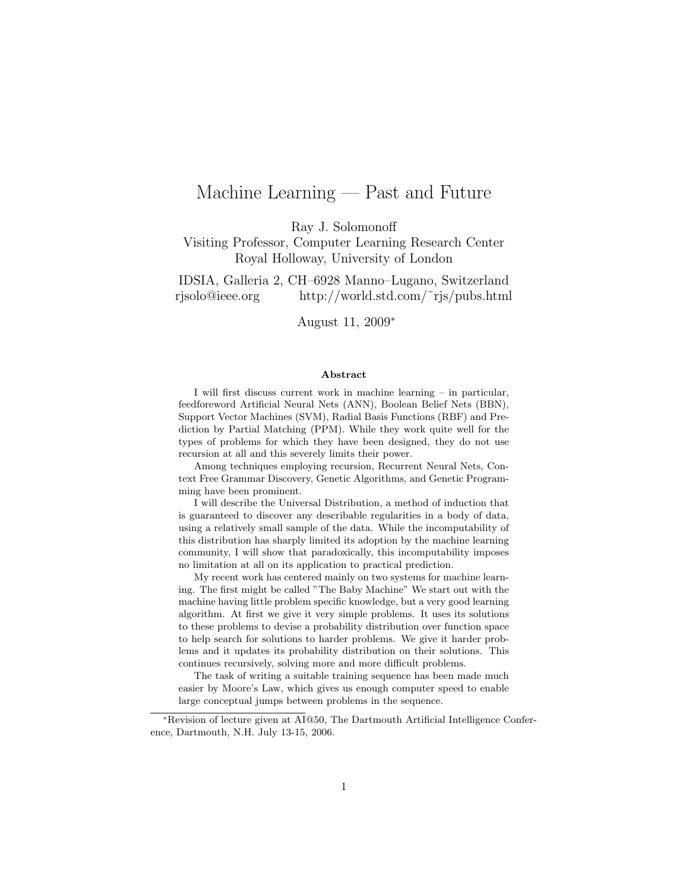# Machine Learning — Past and Future

Ray J. Solomonoff

Visiting Professor, Computer Learning Research Center Royal Holloway, University of London

IDSIA, Galleria 2, CH–6928 Manno–Lugano, Switzerland rjsolo@ieee.org http://world.std.com/˜rjs/pubs.html

August 11, 2009<sup>∗</sup>

#### Abstract

I will first discuss current work in machine learning – in particular, feedforeword Artificial Neural Nets (ANN), Boolean Belief Nets (BBN), Support Vector Machines (SVM), Radial Basis Functions (RBF) and Prediction by Partial Matching (PPM). While they work quite well for the types of problems for which they have been designed, they do not use recursion at all and this severely limits their power.

Among techniques employing recursion, Recurrent Neural Nets, Context Free Grammar Discovery, Genetic Algorithms, and Genetic Programming have been prominent.

I will describe the Universal Distribution, a method of induction that is guaranteed to discover any describable regularities in a body of data, using a relatively small sample of the data. While the incomputability of this distribution has sharply limited its adoption by the machine learning community, I will show that paradoxically, this incomputability imposes no limitation at all on its application to practical prediction.

My recent work has centered mainly on two systems for machine learning. The first might be called "The Baby Machine" We start out with the machine having little problem specific knowledge, but a very good learning algorithm. At first we give it very simple problems. It uses its solutions to these problems to devise a probability distribution over function space to help search for solutions to harder problems. We give it harder problems and it updates its probability distribution on their solutions. This continues recursively, solving more and more difficult problems.

The task of writing a suitable training sequence has been made much easier by Moore's Law, which gives us enough computer speed to enable large conceptual jumps between problems in the sequence.

<sup>∗</sup>Revision of lecture given at AI@50, The Dartmouth Artificial Intelligence Conference, Dartmouth, N.H. July 13-15, 2006.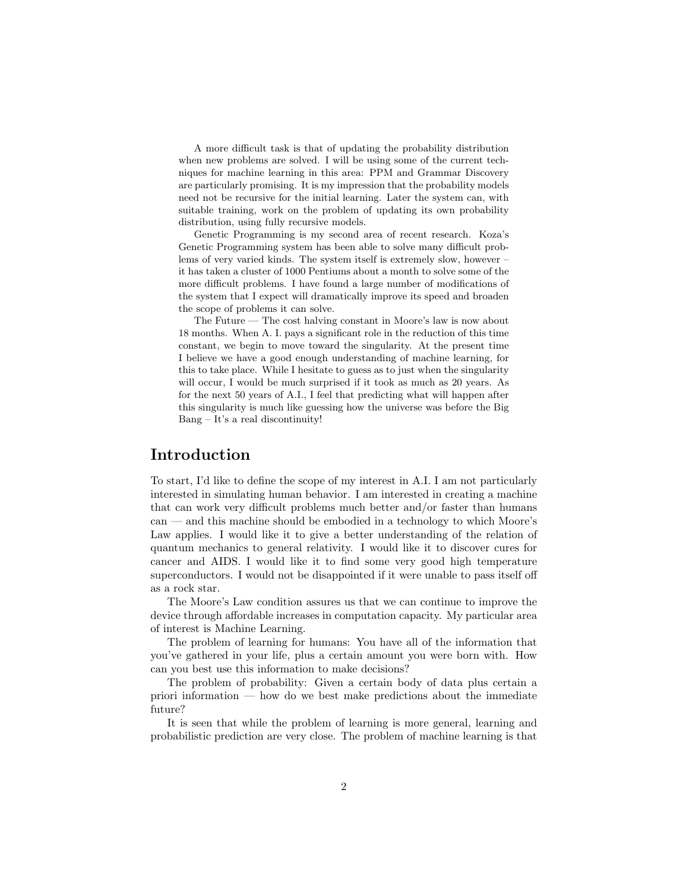A more difficult task is that of updating the probability distribution when new problems are solved. I will be using some of the current techniques for machine learning in this area: PPM and Grammar Discovery are particularly promising. It is my impression that the probability models need not be recursive for the initial learning. Later the system can, with suitable training, work on the problem of updating its own probability distribution, using fully recursive models.

Genetic Programming is my second area of recent research. Koza's Genetic Programming system has been able to solve many difficult problems of very varied kinds. The system itself is extremely slow, however – it has taken a cluster of 1000 Pentiums about a month to solve some of the more difficult problems. I have found a large number of modifications of the system that I expect will dramatically improve its speed and broaden the scope of problems it can solve.

The Future — The cost halving constant in Moore's law is now about 18 months. When A. I. pays a significant role in the reduction of this time constant, we begin to move toward the singularity. At the present time I believe we have a good enough understanding of machine learning, for this to take place. While I hesitate to guess as to just when the singularity will occur, I would be much surprised if it took as much as 20 years. As for the next 50 years of A.I., I feel that predicting what will happen after this singularity is much like guessing how the universe was before the Big Bang – It's a real discontinuity!

#### Introduction

To start, I'd like to define the scope of my interest in A.I. I am not particularly interested in simulating human behavior. I am interested in creating a machine that can work very difficult problems much better and/or faster than humans can — and this machine should be embodied in a technology to which Moore's Law applies. I would like it to give a better understanding of the relation of quantum mechanics to general relativity. I would like it to discover cures for cancer and AIDS. I would like it to find some very good high temperature superconductors. I would not be disappointed if it were unable to pass itself off as a rock star.

The Moore's Law condition assures us that we can continue to improve the device through affordable increases in computation capacity. My particular area of interest is Machine Learning.

The problem of learning for humans: You have all of the information that you've gathered in your life, plus a certain amount you were born with. How can you best use this information to make decisions?

The problem of probability: Given a certain body of data plus certain a priori information — how do we best make predictions about the immediate future?

It is seen that while the problem of learning is more general, learning and probabilistic prediction are very close. The problem of machine learning is that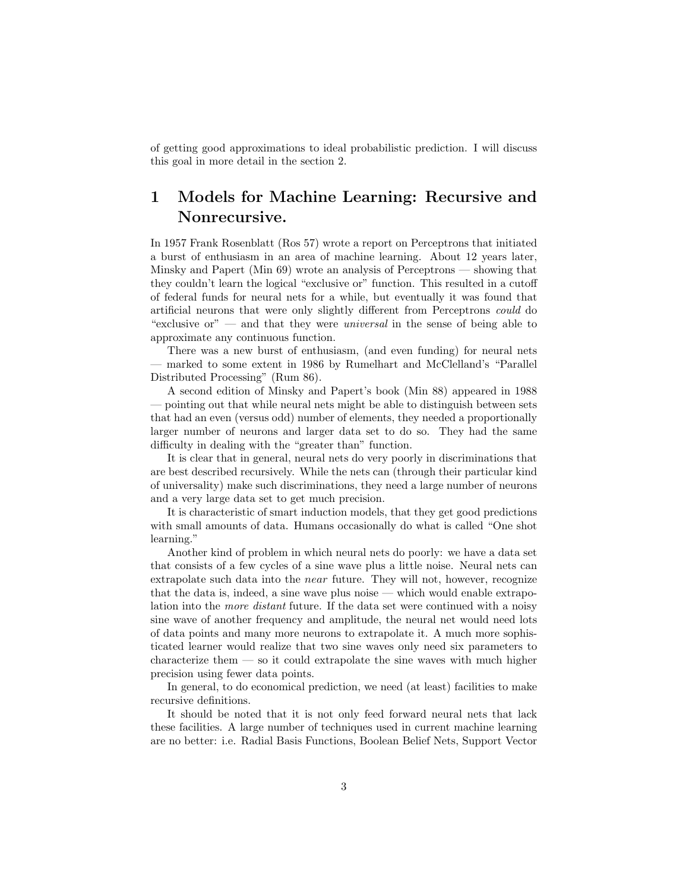of getting good approximations to ideal probabilistic prediction. I will discuss this goal in more detail in the section 2.

## 1 Models for Machine Learning: Recursive and Nonrecursive.

In 1957 Frank Rosenblatt (Ros 57) wrote a report on Perceptrons that initiated a burst of enthusiasm in an area of machine learning. About 12 years later, Minsky and Papert (Min 69) wrote an analysis of Perceptrons — showing that they couldn't learn the logical "exclusive or" function. This resulted in a cutoff of federal funds for neural nets for a while, but eventually it was found that artificial neurons that were only slightly different from Perceptrons could do "exclusive or" — and that they were *universal* in the sense of being able to approximate any continuous function.

There was a new burst of enthusiasm, (and even funding) for neural nets — marked to some extent in 1986 by Rumelhart and McClelland's "Parallel Distributed Processing" (Rum 86).

A second edition of Minsky and Papert's book (Min 88) appeared in 1988 — pointing out that while neural nets might be able to distinguish between sets that had an even (versus odd) number of elements, they needed a proportionally larger number of neurons and larger data set to do so. They had the same difficulty in dealing with the "greater than" function.

It is clear that in general, neural nets do very poorly in discriminations that are best described recursively. While the nets can (through their particular kind of universality) make such discriminations, they need a large number of neurons and a very large data set to get much precision.

It is characteristic of smart induction models, that they get good predictions with small amounts of data. Humans occasionally do what is called "One shot learning."

Another kind of problem in which neural nets do poorly: we have a data set that consists of a few cycles of a sine wave plus a little noise. Neural nets can extrapolate such data into the near future. They will not, however, recognize that the data is, indeed, a sine wave plus noise — which would enable extrapolation into the more distant future. If the data set were continued with a noisy sine wave of another frequency and amplitude, the neural net would need lots of data points and many more neurons to extrapolate it. A much more sophisticated learner would realize that two sine waves only need six parameters to characterize them — so it could extrapolate the sine waves with much higher precision using fewer data points.

In general, to do economical prediction, we need (at least) facilities to make recursive definitions.

It should be noted that it is not only feed forward neural nets that lack these facilities. A large number of techniques used in current machine learning are no better: i.e. Radial Basis Functions, Boolean Belief Nets, Support Vector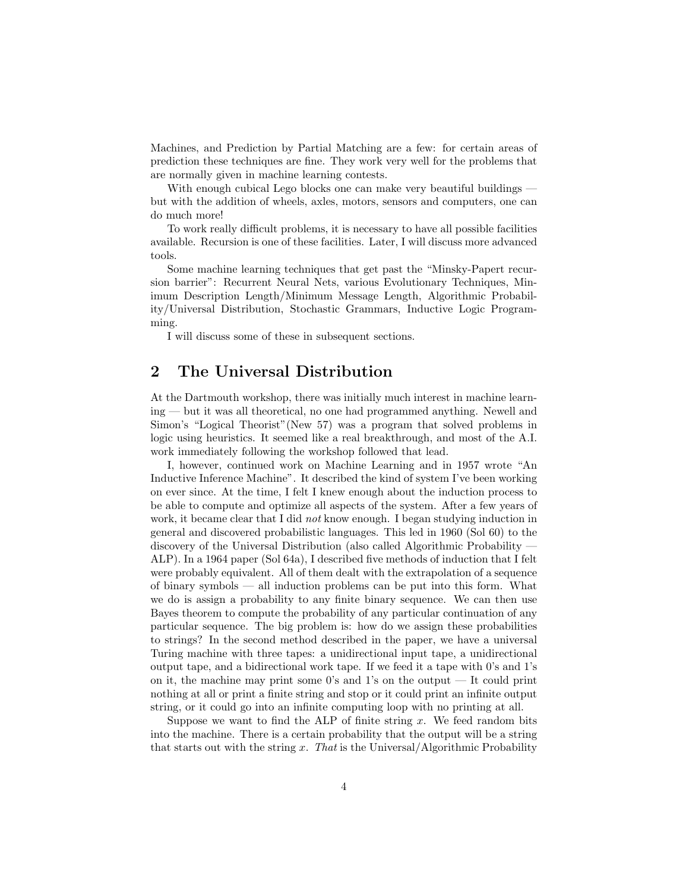Machines, and Prediction by Partial Matching are a few: for certain areas of prediction these techniques are fine. They work very well for the problems that are normally given in machine learning contests.

With enough cubical Lego blocks one can make very beautiful buildings but with the addition of wheels, axles, motors, sensors and computers, one can do much more!

To work really difficult problems, it is necessary to have all possible facilities available. Recursion is one of these facilities. Later, I will discuss more advanced tools.

Some machine learning techniques that get past the "Minsky-Papert recursion barrier": Recurrent Neural Nets, various Evolutionary Techniques, Minimum Description Length/Minimum Message Length, Algorithmic Probability/Universal Distribution, Stochastic Grammars, Inductive Logic Programming.

I will discuss some of these in subsequent sections.

#### 2 The Universal Distribution

At the Dartmouth workshop, there was initially much interest in machine learning — but it was all theoretical, no one had programmed anything. Newell and Simon's "Logical Theorist"(New 57) was a program that solved problems in logic using heuristics. It seemed like a real breakthrough, and most of the A.I. work immediately following the workshop followed that lead.

I, however, continued work on Machine Learning and in 1957 wrote "An Inductive Inference Machine". It described the kind of system I've been working on ever since. At the time, I felt I knew enough about the induction process to be able to compute and optimize all aspects of the system. After a few years of work, it became clear that I did not know enough. I began studying induction in general and discovered probabilistic languages. This led in 1960 (Sol 60) to the discovery of the Universal Distribution (also called Algorithmic Probability — ALP). In a 1964 paper (Sol 64a), I described five methods of induction that I felt were probably equivalent. All of them dealt with the extrapolation of a sequence of binary symbols — all induction problems can be put into this form. What we do is assign a probability to any finite binary sequence. We can then use Bayes theorem to compute the probability of any particular continuation of any particular sequence. The big problem is: how do we assign these probabilities to strings? In the second method described in the paper, we have a universal Turing machine with three tapes: a unidirectional input tape, a unidirectional output tape, and a bidirectional work tape. If we feed it a tape with 0's and 1's on it, the machine may print some 0's and 1's on the output  $-$  It could print nothing at all or print a finite string and stop or it could print an infinite output string, or it could go into an infinite computing loop with no printing at all.

Suppose we want to find the ALP of finite string  $x$ . We feed random bits into the machine. There is a certain probability that the output will be a string that starts out with the string x. That is the Universal/Algorithmic Probability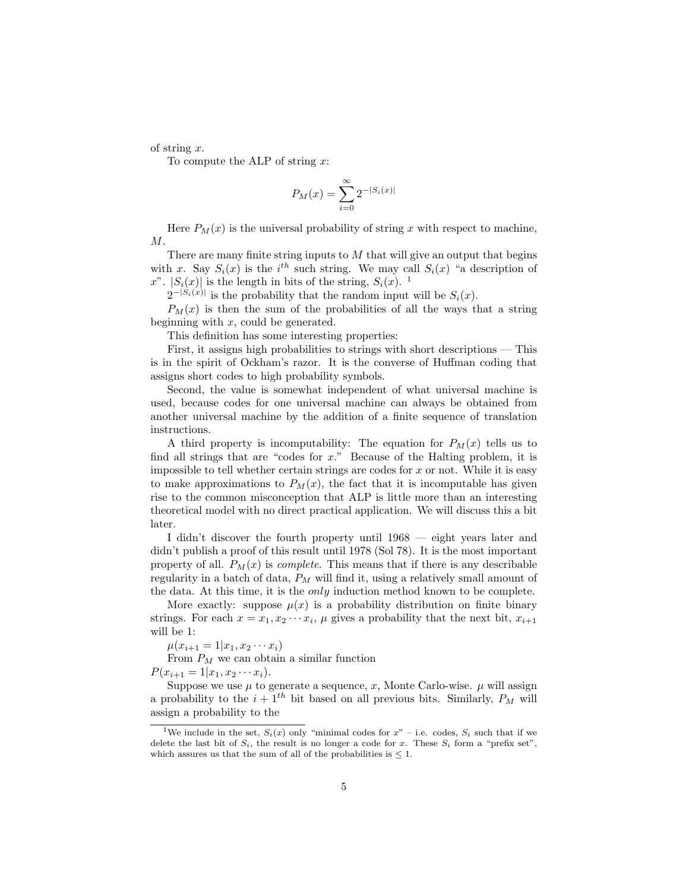of string x.

To compute the ALP of string  $x$ :

$$
P_M(x) = \sum_{i=0}^{\infty} 2^{-|S_i(x)|}
$$

Here  $P_M(x)$  is the universal probability of string x with respect to machine, M.

There are many finite string inputs to  $M$  that will give an output that begins with x. Say  $S_i(x)$  is the i<sup>th</sup> such string. We may call  $S_i(x)$  "a description of x".  $|S_i(x)|$  is the length in bits of the string,  $S_i(x)$ . <sup>1</sup>

 $2^{-|S_i(x)|}$  is the probability that the random input will be  $S_i(x)$ .

 $P_M(x)$  is then the sum of the probabilities of all the ways that a string beginning with  $x$ , could be generated.

This definition has some interesting properties:

First, it assigns high probabilities to strings with short descriptions — This is in the spirit of Ockham's razor. It is the converse of Huffman coding that assigns short codes to high probability symbols.

Second, the value is somewhat independent of what universal machine is used, because codes for one universal machine can always be obtained from another universal machine by the addition of a finite sequence of translation instructions.

A third property is incomputability: The equation for  $P_M(x)$  tells us to find all strings that are "codes for x." Because of the Halting problem, it is impossible to tell whether certain strings are codes for  $x$  or not. While it is easy to make approximations to  $P_M(x)$ , the fact that it is incomputable has given rise to the common misconception that ALP is little more than an interesting theoretical model with no direct practical application. We will discuss this a bit later.

I didn't discover the fourth property until 1968 — eight years later and didn't publish a proof of this result until 1978 (Sol 78). It is the most important property of all.  $P_M(x)$  is *complete*. This means that if there is any describable regularity in a batch of data,  $P_M$  will find it, using a relatively small amount of the data. At this time, it is the only induction method known to be complete.

More exactly: suppose  $\mu(x)$  is a probability distribution on finite binary strings. For each  $x = x_1, x_2 \cdots x_i$ ,  $\mu$  gives a probability that the next bit,  $x_{i+1}$ will be 1:

 $\mu(x_{i+1} = 1 | x_1, x_2 \cdots x_i)$ 

From  $P_M$  we can obtain a similar function

 $P(x_{i+1} = 1 | x_1, x_2 \cdots x_i).$ 

Suppose we use  $\mu$  to generate a sequence, x, Monte Carlo-wise.  $\mu$  will assign a probability to the  $i + 1$ <sup>th</sup> bit based on all previous bits. Similarly,  $P_M$  will assign a probability to the

<sup>&</sup>lt;sup>1</sup>We include in the set,  $S_i(x)$  only "minimal codes for  $x$ " – i.e. codes,  $S_i$  such that if we delete the last bit of  $S_i$ , the result is no longer a code for x. These  $S_i$  form a "prefix set", which assures us that the sum of all of the probabilities is  $\leq 1$ .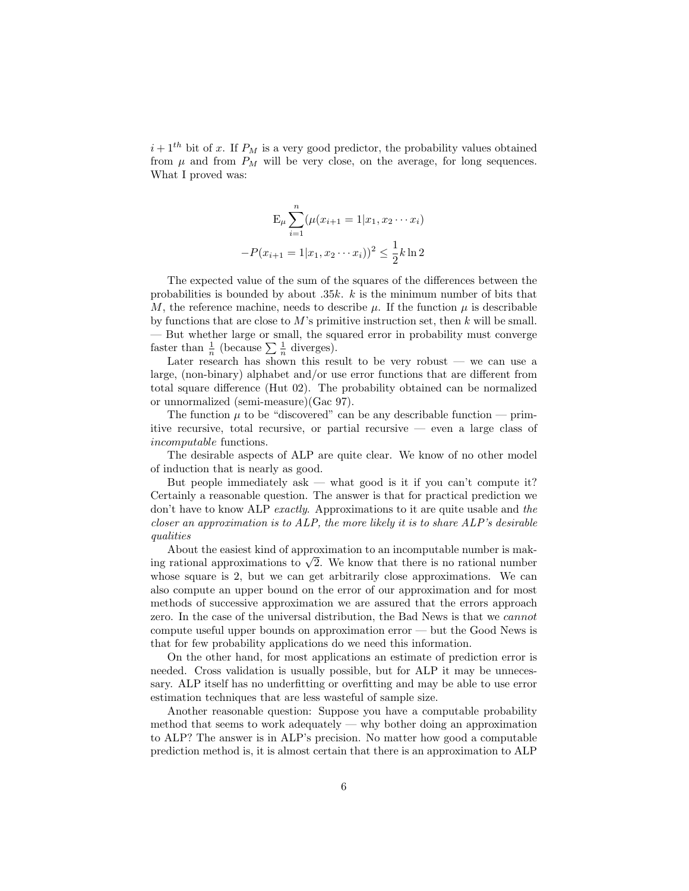$i + 1$ <sup>th</sup> bit of x. If  $P_M$  is a very good predictor, the probability values obtained from  $\mu$  and from  $P_M$  will be very close, on the average, for long sequences. What I proved was:

$$
E_{\mu} \sum_{i=1}^{n} (\mu(x_{i+1} = 1 | x_1, x_2 \cdots x_i)
$$

$$
-P(x_{i+1} = 1 | x_1, x_2 \cdots x_i))^2 \le \frac{1}{2} k \ln 2
$$

The expected value of the sum of the squares of the differences between the probabilities is bounded by about  $.35k$ . k is the minimum number of bits that M, the reference machine, needs to describe  $\mu$ . If the function  $\mu$  is describable by functions that are close to  $M$ 's primitive instruction set, then  $k$  will be small. — But whether large or small, the squared error in probability must converge — but whether large or small, the sq<br>faster than  $\frac{1}{n}$  (because  $\sum \frac{1}{n}$  diverges).

Later research has shown this result to be very robust  $-$  we can use a large, (non-binary) alphabet and/or use error functions that are different from total square difference (Hut 02). The probability obtained can be normalized or unnormalized (semi-measure)(Gac 97).

The function  $\mu$  to be "discovered" can be any describable function — primitive recursive, total recursive, or partial recursive — even a large class of incomputable functions.

The desirable aspects of ALP are quite clear. We know of no other model of induction that is nearly as good.

But people immediately  $ask$  — what good is it if you can't compute it? Certainly a reasonable question. The answer is that for practical prediction we don't have to know ALP exactly. Approximations to it are quite usable and the closer an approximation is to  $ALP$ , the more likely it is to share  $ALP$ 's desirable qualities

About the easiest kind of approximation to an incomputable number is mak-About the easiest kind of approximation to an incomputable number is making rational approximations to  $\sqrt{2}$ . We know that there is no rational number whose square is 2, but we can get arbitrarily close approximations. We can also compute an upper bound on the error of our approximation and for most methods of successive approximation we are assured that the errors approach zero. In the case of the universal distribution, the Bad News is that we cannot compute useful upper bounds on approximation error — but the Good News is that for few probability applications do we need this information.

On the other hand, for most applications an estimate of prediction error is needed. Cross validation is usually possible, but for ALP it may be unnecessary. ALP itself has no underfitting or overfitting and may be able to use error estimation techniques that are less wasteful of sample size.

Another reasonable question: Suppose you have a computable probability method that seems to work adequately — why bother doing an approximation to ALP? The answer is in ALP's precision. No matter how good a computable prediction method is, it is almost certain that there is an approximation to ALP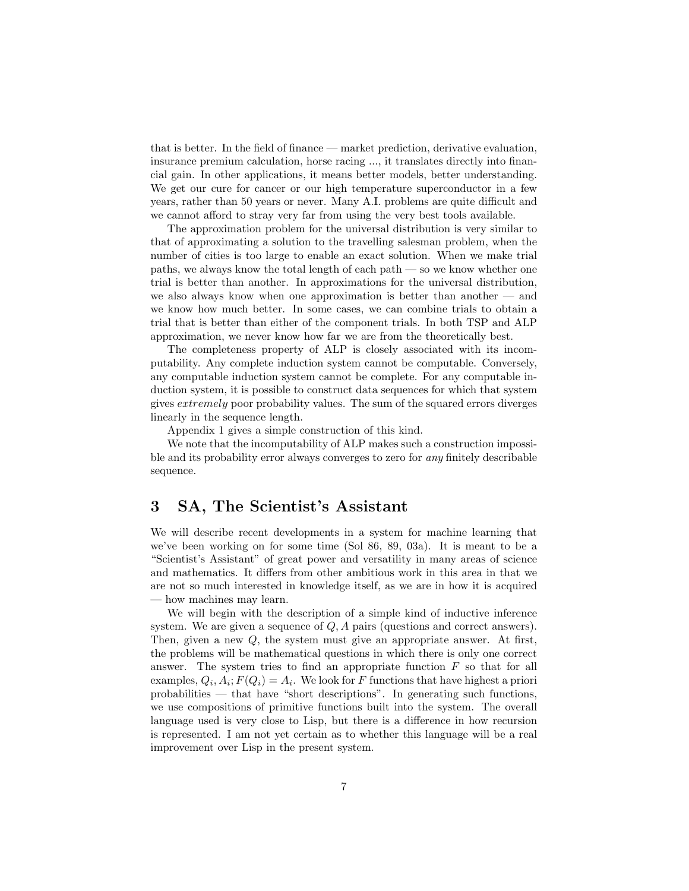that is better. In the field of finance — market prediction, derivative evaluation, insurance premium calculation, horse racing ..., it translates directly into financial gain. In other applications, it means better models, better understanding. We get our cure for cancer or our high temperature superconductor in a few years, rather than 50 years or never. Many A.I. problems are quite difficult and we cannot afford to stray very far from using the very best tools available.

The approximation problem for the universal distribution is very similar to that of approximating a solution to the travelling salesman problem, when the number of cities is too large to enable an exact solution. When we make trial paths, we always know the total length of each path — so we know whether one trial is better than another. In approximations for the universal distribution, we also always know when one approximation is better than another — and we know how much better. In some cases, we can combine trials to obtain a trial that is better than either of the component trials. In both TSP and ALP approximation, we never know how far we are from the theoretically best.

The completeness property of ALP is closely associated with its incomputability. Any complete induction system cannot be computable. Conversely, any computable induction system cannot be complete. For any computable induction system, it is possible to construct data sequences for which that system gives extremely poor probability values. The sum of the squared errors diverges linearly in the sequence length.

Appendix 1 gives a simple construction of this kind.

We note that the incomputability of ALP makes such a construction impossible and its probability error always converges to zero for *any* finitely describable sequence.

#### 3 SA, The Scientist's Assistant

We will describe recent developments in a system for machine learning that we've been working on for some time (Sol 86, 89, 03a). It is meant to be a "Scientist's Assistant" of great power and versatility in many areas of science and mathematics. It differs from other ambitious work in this area in that we are not so much interested in knowledge itself, as we are in how it is acquired — how machines may learn.

We will begin with the description of a simple kind of inductive inference system. We are given a sequence of Q, A pairs (questions and correct answers). Then, given a new Q, the system must give an appropriate answer. At first, the problems will be mathematical questions in which there is only one correct answer. The system tries to find an appropriate function  $F$  so that for all examples,  $Q_i$ ,  $A_i$ ;  $F(Q_i) = A_i$ . We look for F functions that have highest a priori probabilities — that have "short descriptions". In generating such functions, we use compositions of primitive functions built into the system. The overall language used is very close to Lisp, but there is a difference in how recursion is represented. I am not yet certain as to whether this language will be a real improvement over Lisp in the present system.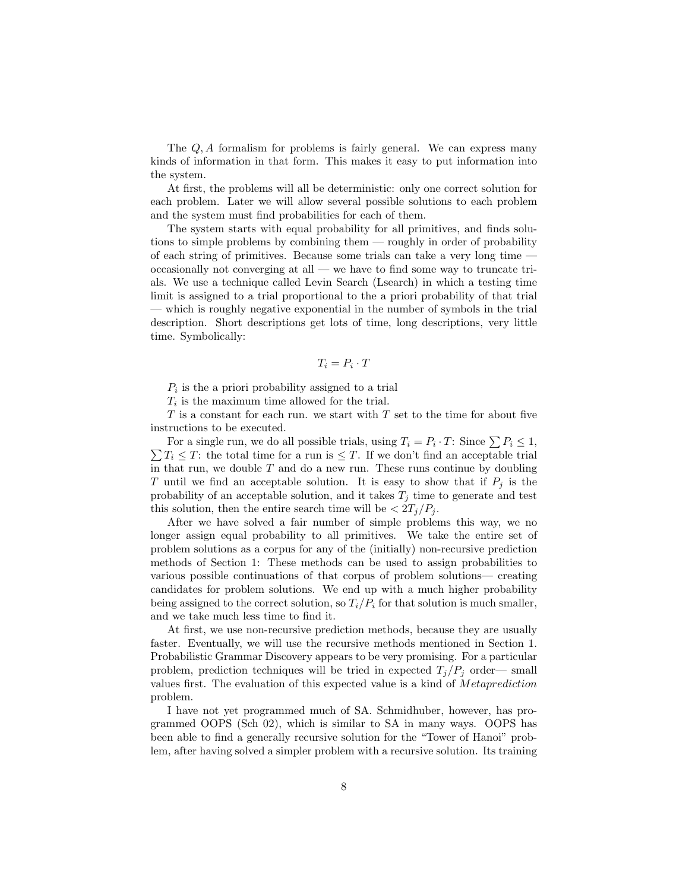The Q, A formalism for problems is fairly general. We can express many kinds of information in that form. This makes it easy to put information into the system.

At first, the problems will all be deterministic: only one correct solution for each problem. Later we will allow several possible solutions to each problem and the system must find probabilities for each of them.

The system starts with equal probability for all primitives, and finds solutions to simple problems by combining them — roughly in order of probability of each string of primitives. Because some trials can take a very long time occasionally not converging at all — we have to find some way to truncate trials. We use a technique called Levin Search (Lsearch) in which a testing time limit is assigned to a trial proportional to the a priori probability of that trial — which is roughly negative exponential in the number of symbols in the trial description. Short descriptions get lots of time, long descriptions, very little time. Symbolically:

$$
T_i=P_i\cdot T
$$

 $P_i$  is the a priori probability assigned to a trial

 $T_i$  is the maximum time allowed for the trial.

 $T$  is a constant for each run. we start with  $T$  set to the time for about five instructions to be executed.

For a single run, we do all possible trials, using  $T_i = P_i \cdot T$ : Since  $\sum P_i \leq 1$ , For a single run, we do an possible trials, using  $I_i = P_i \cdot I$ : Since  $\sum P_i \leq 1$ ,  $\sum T_i \leq T$ : the total time for a run is  $\leq T$ . If we don't find an acceptable trial in that run, we double  $T$  and do a new run. These runs continue by doubling T until we find an acceptable solution. It is easy to show that if  $P_i$  is the probability of an acceptable solution, and it takes  $T_j$  time to generate and test this solution, then the entire search time will be  $\langle 2T_i/P_i \rangle$ .

After we have solved a fair number of simple problems this way, we no longer assign equal probability to all primitives. We take the entire set of problem solutions as a corpus for any of the (initially) non-recursive prediction methods of Section 1: These methods can be used to assign probabilities to various possible continuations of that corpus of problem solutions— creating candidates for problem solutions. We end up with a much higher probability being assigned to the correct solution, so  $T_i/P_i$  for that solution is much smaller, and we take much less time to find it.

At first, we use non-recursive prediction methods, because they are usually faster. Eventually, we will use the recursive methods mentioned in Section 1. Probabilistic Grammar Discovery appears to be very promising. For a particular problem, prediction techniques will be tried in expected  $T_i/P_i$  order— small values first. The evaluation of this expected value is a kind of Metaprediction problem.

I have not yet programmed much of SA. Schmidhuber, however, has programmed OOPS (Sch 02), which is similar to SA in many ways. OOPS has been able to find a generally recursive solution for the "Tower of Hanoi" problem, after having solved a simpler problem with a recursive solution. Its training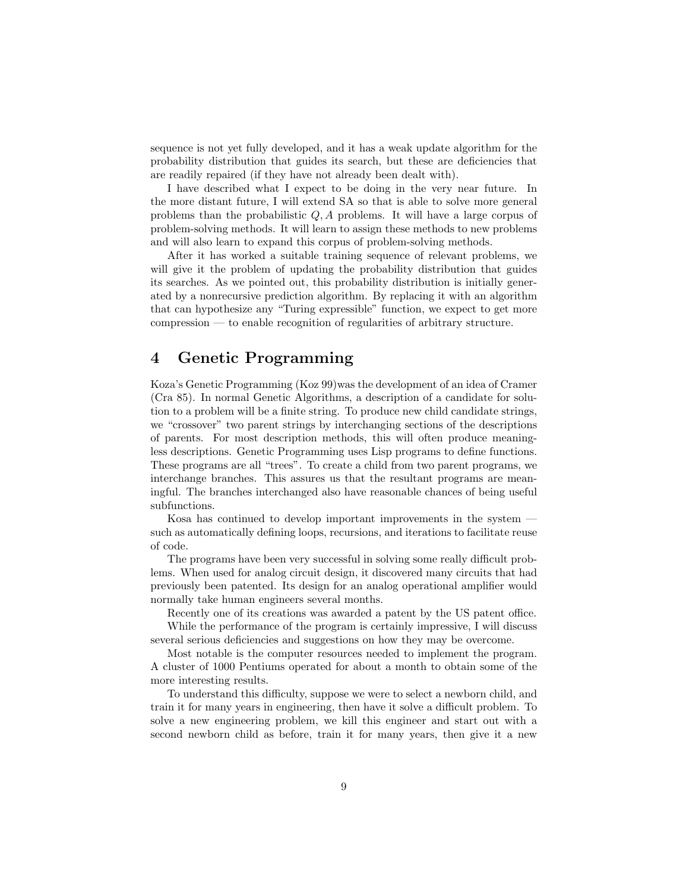sequence is not yet fully developed, and it has a weak update algorithm for the probability distribution that guides its search, but these are deficiencies that are readily repaired (if they have not already been dealt with).

I have described what I expect to be doing in the very near future. In the more distant future, I will extend SA so that is able to solve more general problems than the probabilistic  $Q$ ,  $A$  problems. It will have a large corpus of problem-solving methods. It will learn to assign these methods to new problems and will also learn to expand this corpus of problem-solving methods.

After it has worked a suitable training sequence of relevant problems, we will give it the problem of updating the probability distribution that guides its searches. As we pointed out, this probability distribution is initially generated by a nonrecursive prediction algorithm. By replacing it with an algorithm that can hypothesize any "Turing expressible" function, we expect to get more compression — to enable recognition of regularities of arbitrary structure.

### 4 Genetic Programming

Koza's Genetic Programming (Koz 99)was the development of an idea of Cramer (Cra 85). In normal Genetic Algorithms, a description of a candidate for solution to a problem will be a finite string. To produce new child candidate strings, we "crossover" two parent strings by interchanging sections of the descriptions of parents. For most description methods, this will often produce meaningless descriptions. Genetic Programming uses Lisp programs to define functions. These programs are all "trees". To create a child from two parent programs, we interchange branches. This assures us that the resultant programs are meaningful. The branches interchanged also have reasonable chances of being useful subfunctions.

Kosa has continued to develop important improvements in the system such as automatically defining loops, recursions, and iterations to facilitate reuse of code.

The programs have been very successful in solving some really difficult problems. When used for analog circuit design, it discovered many circuits that had previously been patented. Its design for an analog operational amplifier would normally take human engineers several months.

Recently one of its creations was awarded a patent by the US patent office.

While the performance of the program is certainly impressive, I will discuss several serious deficiencies and suggestions on how they may be overcome.

Most notable is the computer resources needed to implement the program. A cluster of 1000 Pentiums operated for about a month to obtain some of the more interesting results.

To understand this difficulty, suppose we were to select a newborn child, and train it for many years in engineering, then have it solve a difficult problem. To solve a new engineering problem, we kill this engineer and start out with a second newborn child as before, train it for many years, then give it a new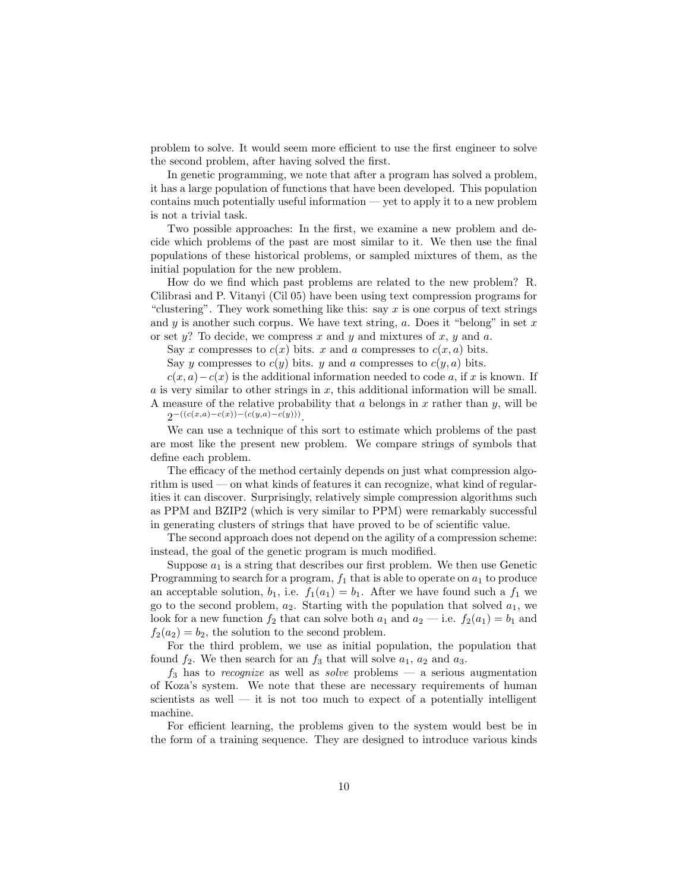problem to solve. It would seem more efficient to use the first engineer to solve the second problem, after having solved the first.

In genetic programming, we note that after a program has solved a problem, it has a large population of functions that have been developed. This population contains much potentially useful information — yet to apply it to a new problem is not a trivial task.

Two possible approaches: In the first, we examine a new problem and decide which problems of the past are most similar to it. We then use the final populations of these historical problems, or sampled mixtures of them, as the initial population for the new problem.

How do we find which past problems are related to the new problem? R. Cilibrasi and P. Vitanyi (Cil 05) have been using text compression programs for "clustering". They work something like this: say  $x$  is one corpus of text strings and y is another such corpus. We have text string, a. Does it "belong" in set x or set  $y$ ? To decide, we compress x and y and mixtures of x, y and a.

Say x compresses to  $c(x)$  bits. x and a compresses to  $c(x, a)$  bits.

Say y compresses to  $c(y)$  bits. y and a compresses to  $c(y, a)$  bits.

 $c(x, a) - c(x)$  is the additional information needed to code a, if x is known. If  $a$  is very similar to other strings in  $x$ , this additional information will be small. A measure of the relative probability that a belongs in x rather than y, will be

 $2^{-((c(x,a)-c(x))-(c(y,a)-c(y)))}$ .

We can use a technique of this sort to estimate which problems of the past are most like the present new problem. We compare strings of symbols that define each problem.

The efficacy of the method certainly depends on just what compression algorithm is used — on what kinds of features it can recognize, what kind of regularities it can discover. Surprisingly, relatively simple compression algorithms such as PPM and BZIP2 (which is very similar to PPM) were remarkably successful in generating clusters of strings that have proved to be of scientific value.

The second approach does not depend on the agility of a compression scheme: instead, the goal of the genetic program is much modified.

Suppose  $a_1$  is a string that describes our first problem. We then use Genetic Programming to search for a program,  $f_1$  that is able to operate on  $a_1$  to produce an acceptable solution,  $b_1$ , i.e.  $f_1(a_1) = b_1$ . After we have found such a  $f_1$  we go to the second problem,  $a_2$ . Starting with the population that solved  $a_1$ , we look for a new function  $f_2$  that can solve both  $a_1$  and  $a_2$  — i.e.  $f_2(a_1) = b_1$  and  $f_2(a_2) = b_2$ , the solution to the second problem.

For the third problem, we use as initial population, the population that found  $f_2$ . We then search for an  $f_3$  that will solve  $a_1, a_2$  and  $a_3$ .

 $f_3$  has to recognize as well as solve problems – a serious augmentation of Koza's system. We note that these are necessary requirements of human scientists as well  $-$  it is not too much to expect of a potentially intelligent machine.

For efficient learning, the problems given to the system would best be in the form of a training sequence. They are designed to introduce various kinds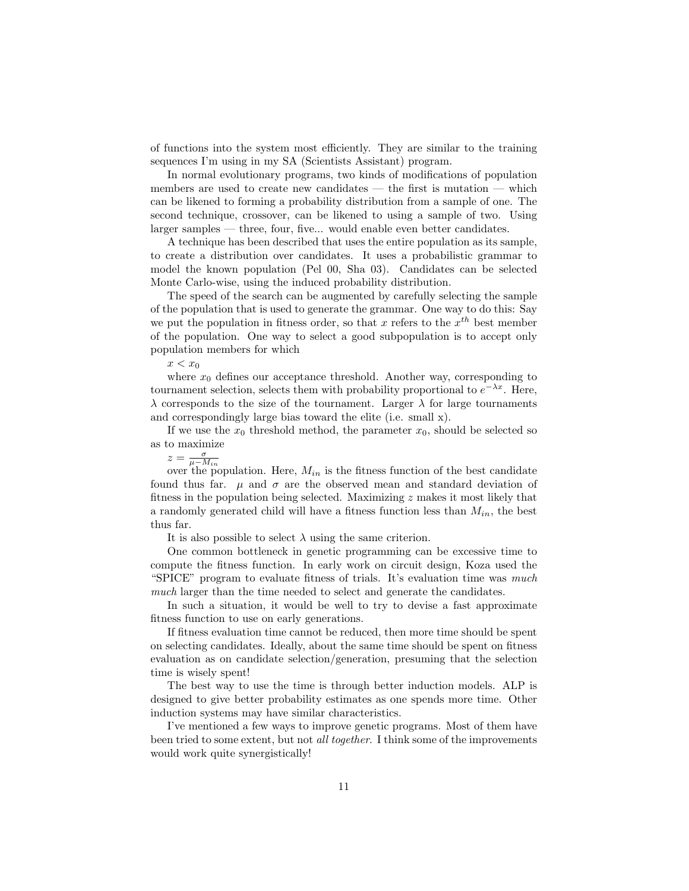of functions into the system most efficiently. They are similar to the training sequences I'm using in my SA (Scientists Assistant) program.

In normal evolutionary programs, two kinds of modifications of population members are used to create new candidates — the first is mutation — which can be likened to forming a probability distribution from a sample of one. The second technique, crossover, can be likened to using a sample of two. Using larger samples — three, four, five... would enable even better candidates.

A technique has been described that uses the entire population as its sample, to create a distribution over candidates. It uses a probabilistic grammar to model the known population (Pel 00, Sha 03). Candidates can be selected Monte Carlo-wise, using the induced probability distribution.

The speed of the search can be augmented by carefully selecting the sample of the population that is used to generate the grammar. One way to do this: Say we put the population in fitness order, so that x refers to the  $x^{th}$  best member of the population. One way to select a good subpopulation is to accept only population members for which

 $x < x_0$ 

where  $x_0$  defines our acceptance threshold. Another way, corresponding to tournament selection, selects them with probability proportional to  $e^{-\lambda x}$ . Here,  $\lambda$  corresponds to the size of the tournament. Larger  $\lambda$  for large tournaments and correspondingly large bias toward the elite (i.e. small x).

If we use the  $x_0$  threshold method, the parameter  $x_0$ , should be selected so as to maximize

 $z = \frac{\sigma}{\mu - M_{in}}$ <br>over the population. Here,  $M_{in}$  is the fitness function of the best candidate found thus far.  $\mu$  and  $\sigma$  are the observed mean and standard deviation of fitness in the population being selected. Maximizing z makes it most likely that a randomly generated child will have a fitness function less than  $M_{in}$ , the best thus far.

It is also possible to select  $\lambda$  using the same criterion.

One common bottleneck in genetic programming can be excessive time to compute the fitness function. In early work on circuit design, Koza used the "SPICE" program to evaluate fitness of trials. It's evaluation time was much much larger than the time needed to select and generate the candidates.

In such a situation, it would be well to try to devise a fast approximate fitness function to use on early generations.

If fitness evaluation time cannot be reduced, then more time should be spent on selecting candidates. Ideally, about the same time should be spent on fitness evaluation as on candidate selection/generation, presuming that the selection time is wisely spent!

The best way to use the time is through better induction models. ALP is designed to give better probability estimates as one spends more time. Other induction systems may have similar characteristics.

I've mentioned a few ways to improve genetic programs. Most of them have been tried to some extent, but not all together. I think some of the improvements would work quite synergistically!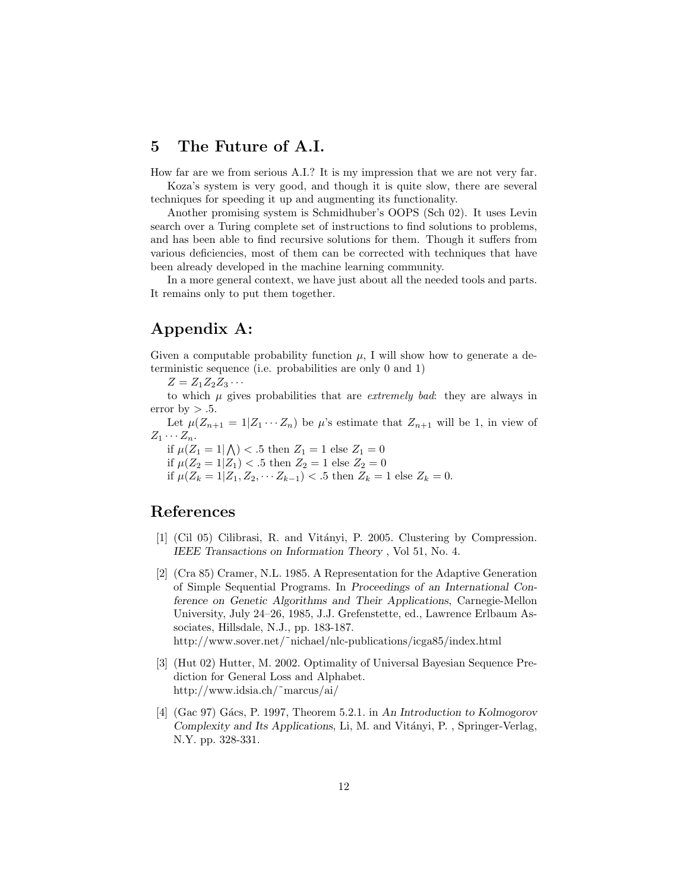#### 5 The Future of A.I.

How far are we from serious A.I.? It is my impression that we are not very far.

Koza's system is very good, and though it is quite slow, there are several techniques for speeding it up and augmenting its functionality.

Another promising system is Schmidhuber's OOPS (Sch 02). It uses Levin search over a Turing complete set of instructions to find solutions to problems, and has been able to find recursive solutions for them. Though it suffers from various deficiencies, most of them can be corrected with techniques that have been already developed in the machine learning community.

In a more general context, we have just about all the needed tools and parts. It remains only to put them together.

# Appendix A:

Given a computable probability function  $\mu$ , I will show how to generate a deterministic sequence (i.e. probabilities are only 0 and 1)

 $Z = Z_1 Z_2 Z_3 \cdots$ 

to which  $\mu$  gives probabilities that are *extremely bad*: they are always in error by  $> .5$ .

Let  $\mu(Z_{n+1} = 1 | Z_1 \cdots Z_n)$  be  $\mu$ 's estimate that  $Z_{n+1}$  will be 1, in view of  $Z_1 \cdots Z_n$ .

 $i \in \mathbb{Z}_n$ .<br>if  $\mu(Z_1 = 1 | \bigwedge) < .5$  then  $Z_1 = 1$  else  $Z_1 = 0$ 

if  $\mu(Z_2 = 1 | Z_1) < .5$  then  $Z_2 = 1$  else  $Z_2 = 0$ if  $\mu(Z_k = 1 | Z_1, Z_2, \cdots Z_{k-1}) < .5$  then  $Z_k = 1$  else  $Z_k = 0$ .

#### References

- [1] (Cil 05) Cilibrasi, R. and Vitányi, P. 2005. Clustering by Compression. IEEE Transactions on Information Theory , Vol 51, No. 4.
- [2] (Cra 85) Cramer, N.L. 1985. A Representation for the Adaptive Generation of Simple Sequential Programs. In Proceedings of an International Conference on Genetic Algorithms and Their Applications, Carnegie-Mellon University, July 24–26, 1985, J.J. Grefenstette, ed., Lawrence Erlbaum Associates, Hillsdale, N.J., pp. 183-187. http://www.sover.net/˜nichael/nlc-publications/icga85/index.html
- [3] (Hut 02) Hutter, M. 2002. Optimality of Universal Bayesian Sequence Prediction for General Loss and Alphabet. http://www.idsia.ch/˜marcus/ai/
- [4]  $(Gac 97)$  Gács, P. 1997, Theorem 5.2.1. in An Introduction to Kolmogorov Complexity and Its Applications, Li, M. and Vitányi, P., Springer-Verlag, N.Y. pp. 328-331.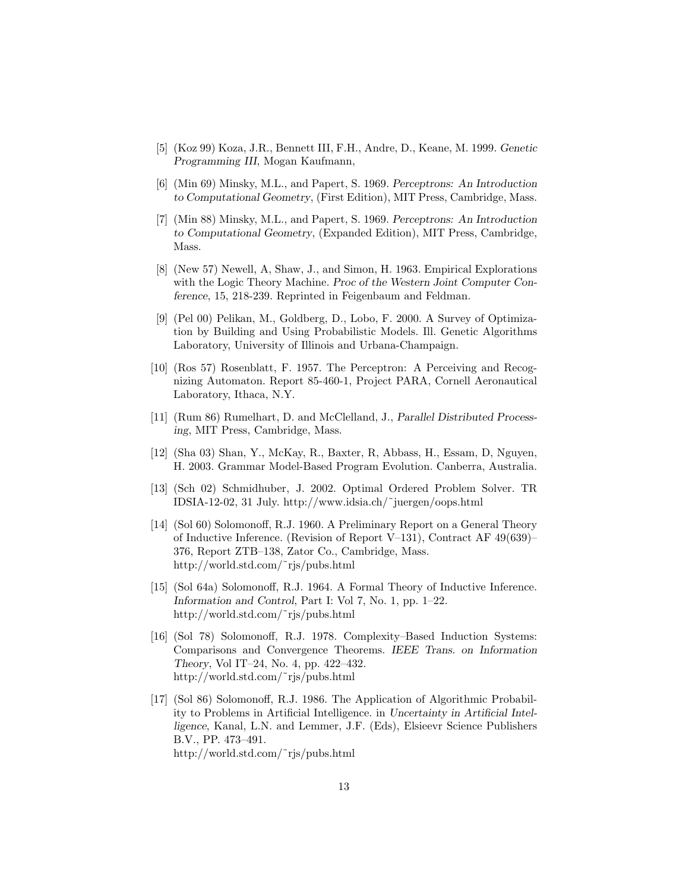- [5] (Koz 99) Koza, J.R., Bennett III, F.H., Andre, D., Keane, M. 1999. Genetic Programming III, Mogan Kaufmann,
- [6] (Min 69) Minsky, M.L., and Papert, S. 1969. Perceptrons: An Introduction to Computational Geometry, (First Edition), MIT Press, Cambridge, Mass.
- [7] (Min 88) Minsky, M.L., and Papert, S. 1969. Perceptrons: An Introduction to Computational Geometry, (Expanded Edition), MIT Press, Cambridge, Mass.
- [8] (New 57) Newell, A, Shaw, J., and Simon, H. 1963. Empirical Explorations with the Logic Theory Machine. Proc of the Western Joint Computer Conference, 15, 218-239. Reprinted in Feigenbaum and Feldman.
- [9] (Pel 00) Pelikan, M., Goldberg, D., Lobo, F. 2000. A Survey of Optimization by Building and Using Probabilistic Models. Ill. Genetic Algorithms Laboratory, University of Illinois and Urbana-Champaign.
- [10] (Ros 57) Rosenblatt, F. 1957. The Perceptron: A Perceiving and Recognizing Automaton. Report 85-460-1, Project PARA, Cornell Aeronautical Laboratory, Ithaca, N.Y.
- [11] (Rum 86) Rumelhart, D. and McClelland, J., Parallel Distributed Processing, MIT Press, Cambridge, Mass.
- [12] (Sha 03) Shan, Y., McKay, R., Baxter, R, Abbass, H., Essam, D, Nguyen, H. 2003. Grammar Model-Based Program Evolution. Canberra, Australia.
- [13] (Sch 02) Schmidhuber, J. 2002. Optimal Ordered Problem Solver. TR IDSIA-12-02, 31 July. http://www.idsia.ch/˜juergen/oops.html
- [14] (Sol 60) Solomonoff, R.J. 1960. A Preliminary Report on a General Theory of Inductive Inference. (Revision of Report V–131), Contract AF 49(639)– 376, Report ZTB–138, Zator Co., Cambridge, Mass. http://world.std.com/˜rjs/pubs.html
- [15] (Sol 64a) Solomonoff, R.J. 1964. A Formal Theory of Inductive Inference. Information and Control, Part I: Vol 7, No. 1, pp. 1–22. http://world.std.com/˜rjs/pubs.html
- [16] (Sol 78) Solomonoff, R.J. 1978. Complexity–Based Induction Systems: Comparisons and Convergence Theorems. IEEE Trans. on Information Theory, Vol IT–24, No. 4, pp. 422–432. http://world.std.com/˜rjs/pubs.html
- [17] (Sol 86) Solomonoff, R.J. 1986. The Application of Algorithmic Probability to Problems in Artificial Intelligence. in Uncertainty in Artificial Intelligence, Kanal, L.N. and Lemmer, J.F. (Eds), Elsieevr Science Publishers B.V., PP. 473–491. http://world.std.com/˜rjs/pubs.html